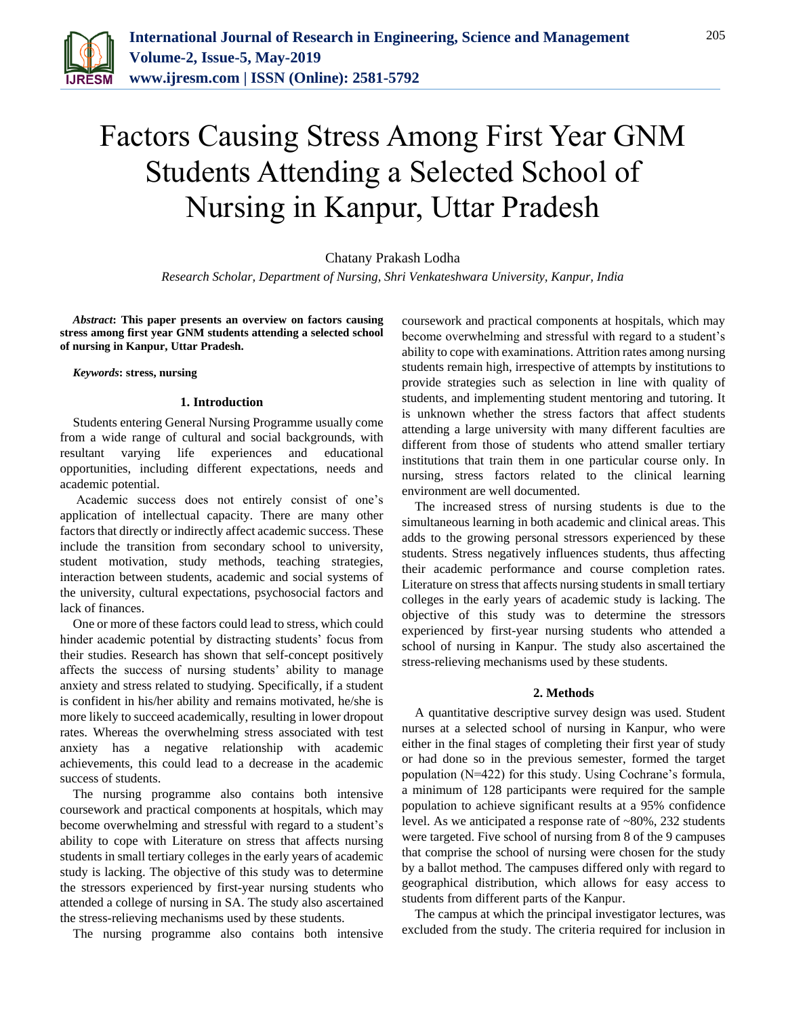

# Factors Causing Stress Among First Year GNM Students Attending a Selected School of Nursing in Kanpur, Uttar Pradesh

Chatany Prakash Lodha

*Research Scholar, Department of Nursing, Shri Venkateshwara University, Kanpur, India* 

*Abstract***: This paper presents an overview on factors causing stress among first year GNM students attending a selected school of nursing in Kanpur, Uttar Pradesh.**

*Keywords***: stress, nursing**

#### **1. Introduction**

Students entering General Nursing Programme usually come from a wide range of cultural and social backgrounds, with resultant varying life experiences and educational opportunities, including different expectations, needs and academic potential.

Academic success does not entirely consist of one's application of intellectual capacity. There are many other factors that directly or indirectly affect academic success. These include the transition from secondary school to university, student motivation, study methods, teaching strategies, interaction between students, academic and social systems of the university, cultural expectations, psychosocial factors and lack of finances.

One or more of these factors could lead to stress, which could hinder academic potential by distracting students' focus from their studies. Research has shown that self-concept positively affects the success of nursing students' ability to manage anxiety and stress related to studying. Specifically, if a student is confident in his/her ability and remains motivated, he/she is more likely to succeed academically, resulting in lower dropout rates. Whereas the overwhelming stress associated with test anxiety has a negative relationship with academic achievements, this could lead to a decrease in the academic success of students.

The nursing programme also contains both intensive coursework and practical components at hospitals, which may become overwhelming and stressful with regard to a student's ability to cope with Literature on stress that affects nursing students in small tertiary colleges in the early years of academic study is lacking. The objective of this study was to determine the stressors experienced by first-year nursing students who attended a college of nursing in SA. The study also ascertained the stress-relieving mechanisms used by these students.

The nursing programme also contains both intensive

coursework and practical components at hospitals, which may become overwhelming and stressful with regard to a student's ability to cope with examinations. Attrition rates among nursing students remain high, irrespective of attempts by institutions to provide strategies such as selection in line with quality of students, and implementing student mentoring and tutoring. It is unknown whether the stress factors that affect students attending a large university with many different faculties are different from those of students who attend smaller tertiary institutions that train them in one particular course only. In nursing, stress factors related to the clinical learning environment are well documented.

The increased stress of nursing students is due to the simultaneous learning in both academic and clinical areas. This adds to the growing personal stressors experienced by these students. Stress negatively influences students, thus affecting their academic performance and course completion rates. Literature on stress that affects nursing students in small tertiary colleges in the early years of academic study is lacking. The objective of this study was to determine the stressors experienced by first-year nursing students who attended a school of nursing in Kanpur. The study also ascertained the stress-relieving mechanisms used by these students.

## **2. Methods**

A quantitative descriptive survey design was used. Student nurses at a selected school of nursing in Kanpur, who were either in the final stages of completing their first year of study or had done so in the previous semester, formed the target population (N=422) for this study. Using Cochrane's formula, a minimum of 128 participants were required for the sample population to achieve significant results at a 95% confidence level. As we anticipated a response rate of ~80%, 232 students were targeted. Five school of nursing from 8 of the 9 campuses that comprise the school of nursing were chosen for the study by a ballot method. The campuses differed only with regard to geographical distribution, which allows for easy access to students from different parts of the Kanpur.

The campus at which the principal investigator lectures, was excluded from the study. The criteria required for inclusion in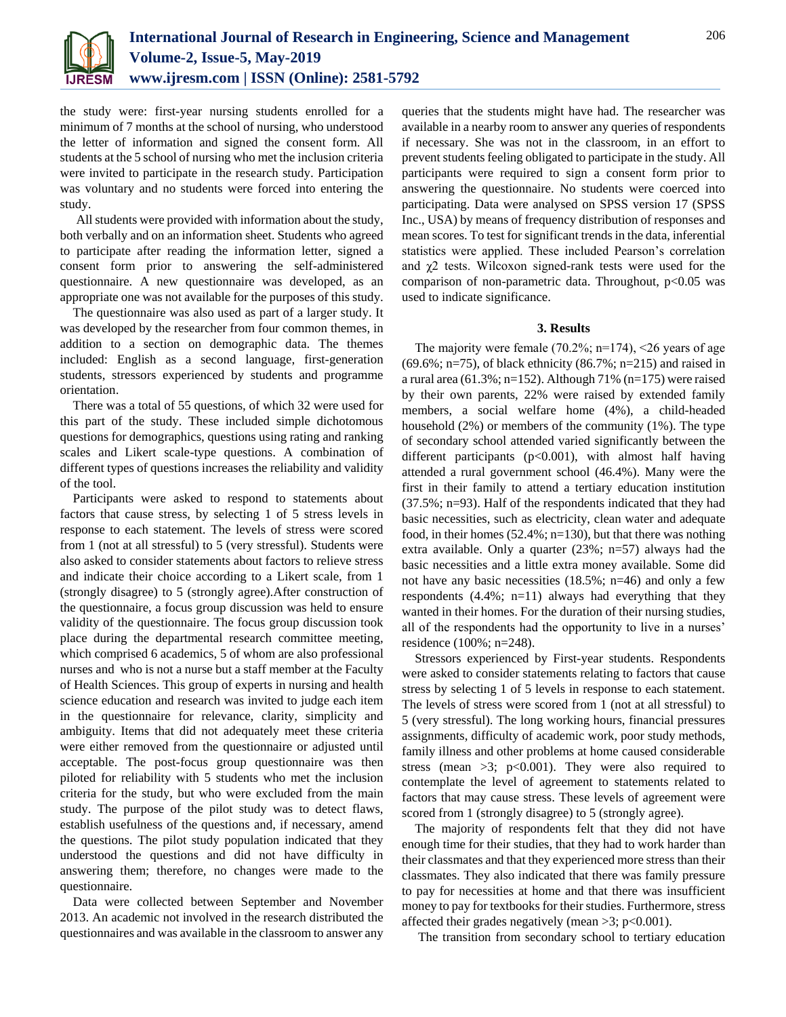

the study were: first-year nursing students enrolled for a minimum of 7 months at the school of nursing, who understood the letter of information and signed the consent form. All students at the 5 school of nursing who met the inclusion criteria were invited to participate in the research study. Participation was voluntary and no students were forced into entering the study.

All students were provided with information about the study, both verbally and on an information sheet. Students who agreed to participate after reading the information letter, signed a consent form prior to answering the self-administered questionnaire. A new questionnaire was developed, as an appropriate one was not available for the purposes of this study.

The questionnaire was also used as part of a larger study. It was developed by the researcher from four common themes, in addition to a section on demographic data. The themes included: English as a second language, first-generation students, stressors experienced by students and programme orientation.

There was a total of 55 questions, of which 32 were used for this part of the study. These included simple dichotomous questions for demographics, questions using rating and ranking scales and Likert scale-type questions. A combination of different types of questions increases the reliability and validity of the tool.

Participants were asked to respond to statements about factors that cause stress, by selecting 1 of 5 stress levels in response to each statement. The levels of stress were scored from 1 (not at all stressful) to 5 (very stressful). Students were also asked to consider statements about factors to relieve stress and indicate their choice according to a Likert scale, from 1 (strongly disagree) to 5 (strongly agree).After construction of the questionnaire, a focus group discussion was held to ensure validity of the questionnaire. The focus group discussion took place during the departmental research committee meeting, which comprised 6 academics, 5 of whom are also professional nurses and who is not a nurse but a staff member at the Faculty of Health Sciences. This group of experts in nursing and health science education and research was invited to judge each item in the questionnaire for relevance, clarity, simplicity and ambiguity. Items that did not adequately meet these criteria were either removed from the questionnaire or adjusted until acceptable. The post-focus group questionnaire was then piloted for reliability with 5 students who met the inclusion criteria for the study, but who were excluded from the main study. The purpose of the pilot study was to detect flaws, establish usefulness of the questions and, if necessary, amend the questions. The pilot study population indicated that they understood the questions and did not have difficulty in answering them; therefore, no changes were made to the questionnaire.

Data were collected between September and November 2013. An academic not involved in the research distributed the questionnaires and was available in the classroom to answer any queries that the students might have had. The researcher was available in a nearby room to answer any queries of respondents if necessary. She was not in the classroom, in an effort to prevent students feeling obligated to participate in the study. All participants were required to sign a consent form prior to answering the questionnaire. No students were coerced into participating. Data were analysed on SPSS version 17 (SPSS Inc., USA) by means of frequency distribution of responses and mean scores. To test for significant trends in the data, inferential statistics were applied. These included Pearson's correlation and χ2 tests. Wilcoxon signed-rank tests were used for the comparison of non-parametric data. Throughout,  $p<0.05$  was used to indicate significance.

### **3. Results**

The majority were female  $(70.2\%; n=174)$ , <26 years of age (69.6%; n=75), of black ethnicity (86.7%; n=215) and raised in a rural area (61.3%; n=152). Although 71% (n=175) were raised by their own parents, 22% were raised by extended family members, a social welfare home (4%), a child-headed household (2%) or members of the community (1%). The type of secondary school attended varied significantly between the different participants (p<0.001), with almost half having attended a rural government school (46.4%). Many were the first in their family to attend a tertiary education institution (37.5%; n=93). Half of the respondents indicated that they had basic necessities, such as electricity, clean water and adequate food, in their homes (52.4%; n=130), but that there was nothing extra available. Only a quarter (23%; n=57) always had the basic necessities and a little extra money available. Some did not have any basic necessities (18.5%; n=46) and only a few respondents  $(4.4\%; n=11)$  always had everything that they wanted in their homes. For the duration of their nursing studies, all of the respondents had the opportunity to live in a nurses' residence (100%; n=248).

Stressors experienced by First-year students. Respondents were asked to consider statements relating to factors that cause stress by selecting 1 of 5 levels in response to each statement. The levels of stress were scored from 1 (not at all stressful) to 5 (very stressful). The long working hours, financial pressures assignments, difficulty of academic work, poor study methods, family illness and other problems at home caused considerable stress (mean  $>3$ ; p<0.001). They were also required to contemplate the level of agreement to statements related to factors that may cause stress. These levels of agreement were scored from 1 (strongly disagree) to 5 (strongly agree).

The majority of respondents felt that they did not have enough time for their studies, that they had to work harder than their classmates and that they experienced more stress than their classmates. They also indicated that there was family pressure to pay for necessities at home and that there was insufficient money to pay for textbooks for their studies. Furthermore, stress affected their grades negatively (mean  $>3$ ; p $<0.001$ ).

The transition from secondary school to tertiary education